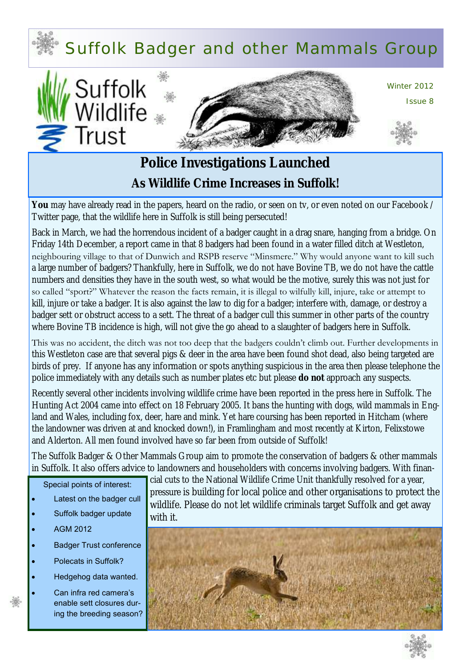# Suffolk Badger and other Mammals Group





Winter 2012

Issue 8



# **Police Investigations Launched As Wildlife Crime Increases in Suffolk!**

You may have already read in the papers, heard on the radio, or seen on tv, or even noted on our Facebook / Twitter page, that the wildlife here in Suffolk is still being persecuted!

Back in March, we had the horrendous incident of a badger caught in a drag snare, hanging from a bridge. On Friday 14th December, a report came in that 8 badgers had been found in a water filled ditch at Westleton, neighbouring village to that of Dunwich and RSPB reserve "Minsmere." Why would anyone want to kill such a large number of badgers? Thankfully, here in Suffolk, we do not have Bovine TB, we do not have the cattle numbers and densities they have in the south west, so what would be the motive, surely this was not just for so called "sport?" Whatever the reason the facts remain, it is illegal to wilfully kill, injure, take or attempt to kill, injure or take a badger. It is also against the law to dig for a badger; interfere with, damage, or destroy a badger sett or obstruct access to a sett. The threat of a badger cull this summer in other parts of the country where Bovine TB incidence is high, will not give the go ahead to a slaughter of badgers here in Suffolk.

This was no accident, the ditch was not too deep that the badgers couldn't climb out. Further developments in this Westleton case are that several pigs & deer in the area have been found shot dead, also being targeted are birds of prey. If anyone has any information or spots anything suspicious in the area then please telephone the police immediately with any details such as number plates etc but please **do not** approach any suspects.

Recently several other incidents involving wildlife crime have been reported in the press here in Suffolk. The Hunting Act 2004 came into effect on 18 February 2005. It bans the hunting with dogs, wild mammals in England and Wales, including fox, deer, hare and mink. Yet hare coursing has been reported in Hitcham (where the landowner was driven at and knocked down!), in Framlingham and most recently at Kirton, Felixstowe and Alderton. All men found involved have so far been from outside of Suffolk!

The Suffolk Badger & Other Mammals Group aim to promote the conservation of badgers & other mammals in Suffolk. It also offers advice to landowners and householders with concerns involving badgers. With finan-

#### Special points of interest:

- Latest on the badger cull
- Suffolk badger update
- AGM 2012
- Badger Trust conference
- Polecats in Suffolk?
- Hedgehog data wanted.

 Can infra red camera's enable sett closures during the breeding season? cial cuts to the National Wildlife Crime Unit thankfully resolved for a year, pressure is building for local police and other organisations to protect the wildlife. Please do not let wildlife criminals target Suffolk and get away with it.



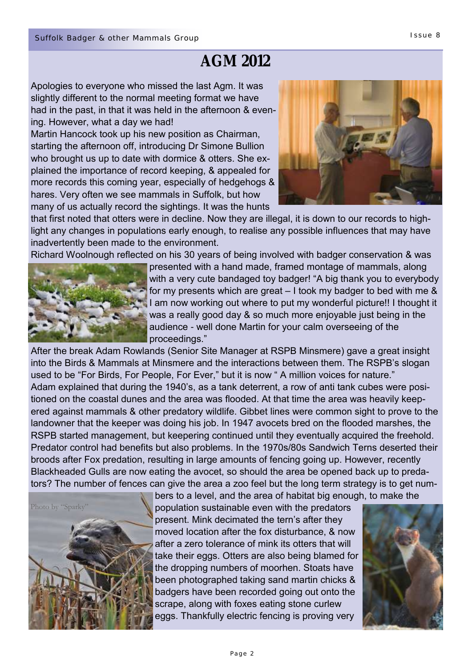# **AGM 2012**

Apologies to everyone who missed the last Agm. It was slightly different to the normal meeting format we have had in the past, in that it was held in the afternoon & evening. However, what a day we had!

Martin Hancock took up his new position as Chairman, starting the afternoon off, introducing Dr Simone Bullion who brought us up to date with dormice & otters. She explained the importance of record keeping, & appealed for more records this coming year, especially of hedgehogs & hares. Very often we see mammals in Suffolk, but how many of us actually record the sightings. It was the hunts



that first noted that otters were in decline. Now they are illegal, it is down to our records to highlight any changes in populations early enough, to realise any possible influences that may have inadvertently been made to the environment.

Richard Woolnough reflected on his 30 years of being involved with badger conservation & was



presented with a hand made, framed montage of mammals, along with a very cute bandaged toy badger! "A big thank you to everybody for my presents which are great – I took my badger to bed with me & I am now working out where to put my wonderful picture!! I thought it was a really good day & so much more enjoyable just being in the audience - well done Martin for your calm overseeing of the proceedings."

After the break Adam Rowlands (Senior Site Manager at RSPB Minsmere) gave a great insight into the Birds & Mammals at Minsmere and the interactions between them. The RSPB's slogan used to be "For Birds, For People, For Ever," but it is now " A million voices for nature." Adam explained that during the 1940's, as a tank deterrent, a row of anti tank cubes were positioned on the coastal dunes and the area was flooded. At that time the area was heavily keepered against mammals & other predatory wildlife. Gibbet lines were common sight to prove to the landowner that the keeper was doing his job. In 1947 avocets bred on the flooded marshes, the RSPB started management, but keepering continued until they eventually acquired the freehold. Predator control had benefits but also problems. In the 1970s/80s Sandwich Terns deserted their broods after Fox predation, resulting in large amounts of fencing going up. However, recently Blackheaded Gulls are now eating the avocet, so should the area be opened back up to predators? The number of fences can give the area a zoo feel but the long term strategy is to get num-



bers to a level, and the area of habitat big enough, to make the population sustainable even with the predators present. Mink decimated the tern's after they moved location after the fox disturbance, & now after a zero tolerance of mink its otters that will take their eggs. Otters are also being blamed for the dropping numbers of moorhen. Stoats have been photographed taking sand martin chicks & badgers have been recorded going out onto the scrape, along with foxes eating stone curlew eggs. Thankfully electric fencing is proving very

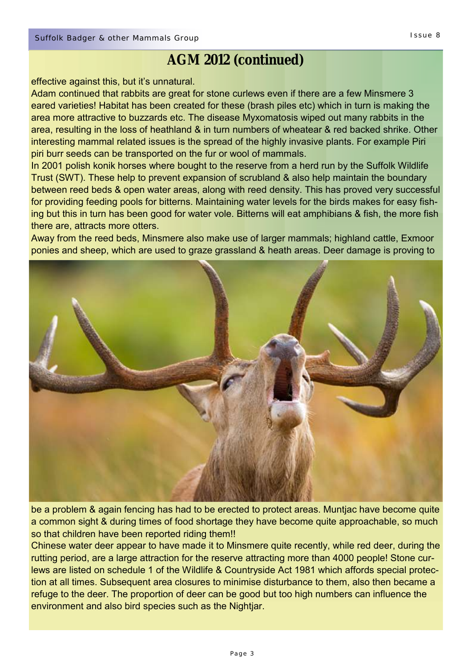# **AGM 2012 (continued)**

#### effective against this, but it's unnatural.

Adam continued that rabbits are great for stone curlews even if there are a few Minsmere 3 eared varieties! Habitat has been created for these (brash piles etc) which in turn is making the area more attractive to buzzards etc. The disease Myxomatosis wiped out many rabbits in the area, resulting in the loss of heathland & in turn numbers of wheatear & red backed shrike. Other interesting mammal related issues is the spread of the highly invasive plants. For example Piri piri burr seeds can be transported on the fur or wool of mammals.

In 2001 polish konik horses where bought to the reserve from a herd run by the Suffolk Wildlife Trust (SWT). These help to prevent expansion of scrubland & also help maintain the boundary between reed beds & open water areas, along with reed density. This has proved very successful for providing feeding pools for bitterns. Maintaining water levels for the birds makes for easy fishing but this in turn has been good for water vole. Bitterns will eat amphibians & fish, the more fish there are, attracts more otters.

Away from the reed beds, Minsmere also make use of larger mammals; highland cattle, Exmoor ponies and sheep, which are used to graze grassland & heath areas. Deer damage is proving to



be a problem & again fencing has had to be erected to protect areas. Muntjac have become quite a common sight & during times of food shortage they have become quite approachable, so much so that children have been reported riding them!!

Chinese water deer appear to have made it to Minsmere quite recently, while red deer, during the rutting period, are a large attraction for the reserve attracting more than 4000 people! Stone curlews are listed on schedule 1 of the Wildlife & Countryside Act 1981 which affords special protection at all times. Subsequent area closures to minimise disturbance to them, also then became a refuge to the deer. The proportion of deer can be good but too high numbers can influence the environment and also bird species such as the Nightjar.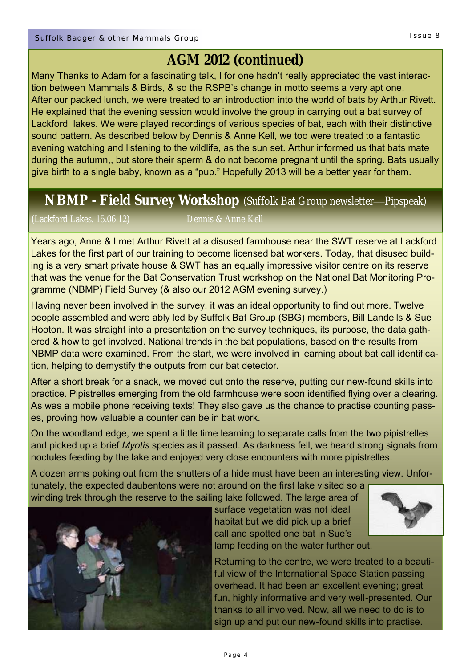# **AGM 2012 (continued)**

Many Thanks to Adam for a fascinating talk, I for one hadn't really appreciated the vast interaction between Mammals & Birds, & so the RSPB's change in motto seems a very apt one. After our packed lunch, we were treated to an introduction into the world of bats by Arthur Rivett. He explained that the evening session would involve the group in carrying out a bat survey of Lackford lakes. We were played recordings of various species of bat, each with their distinctive sound pattern. As described below by Dennis & Anne Kell, we too were treated to a fantastic evening watching and listening to the wildlife, as the sun set. Arthur informed us that bats mate during the autumn,, but store their sperm & do not become pregnant until the spring. Bats usually give birth to a single baby, known as a "pup." Hopefully 2013 will be a better year for them.

# **NBMP - Field Survey Workshop** (Suffolk Bat Group newsletter—Pipspeak)

Years ago, Anne & I met Arthur Rivett at a disused farmhouse near the SWT reserve at Lackford Lakes for the first part of our training to become licensed bat workers. Today, that disused building is a very smart private house & SWT has an equally impressive visitor centre on its reserve that was the venue for the Bat Conservation Trust workshop on the National Bat Monitoring Programme (NBMP) Field Survey (& also our 2012 AGM evening survey.)

Having never been involved in the survey, it was an ideal opportunity to find out more. Twelve people assembled and were ably led by Suffolk Bat Group (SBG) members, Bill Landells & Sue Hooton. It was straight into a presentation on the survey techniques, its purpose, the data gathered & how to get involved. National trends in the bat populations, based on the results from NBMP data were examined. From the start, we were involved in learning about bat call identification, helping to demystify the outputs from our bat detector.

After a short break for a snack, we moved out onto the reserve, putting our new-found skills into practice. Pipistrelles emerging from the old farmhouse were soon identified flying over a clearing. As was a mobile phone receiving texts! They also gave us the chance to practise counting passes, proving how valuable a counter can be in bat work.

On the woodland edge, we spent a little time learning to separate calls from the two pipistrelles and picked up a brief *Myotis* species as it passed. As darkness fell, we heard strong signals from noctules feeding by the lake and enjoyed very close encounters with more pipistrelles.

A dozen arms poking out from the shutters of a hide must have been an interesting view. Unfortunately, the expected daubentons were not around on the first lake visited so a winding trek through the reserve to the sailing lake followed. The large area of



surface vegetation was not ideal habitat but we did pick up a brief call and spotted one bat in Sue's



lamp feeding on the water further out.

Returning to the centre, we were treated to a beautiful view of the International Space Station passing overhead. It had been an excellent evening; great fun, highly informative and very well-presented. Our thanks to all involved. Now, all we need to do is to sign up and put our new-found skills into practise.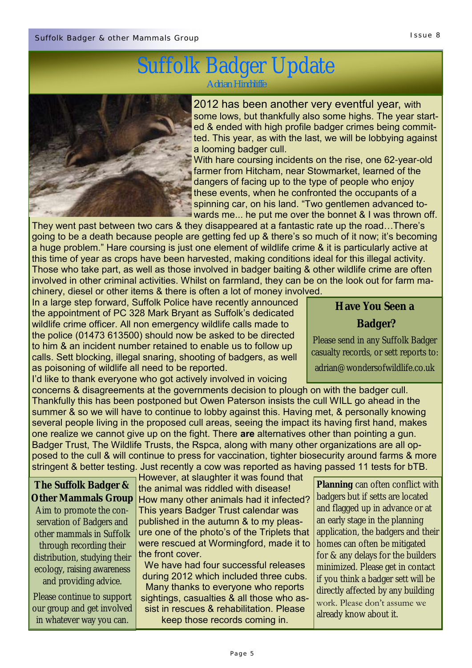# Suffolk Badger Update

*Adrian Hinchliffe*



2012 has been another very eventful year, with some lows, but thankfully also some highs. The year started & ended with high profile badger crimes being committed. This year, as with the last, we will be lobbying against a looming badger cull.

With hare coursing incidents on the rise, one 62-year-old farmer from Hitcham, near Stowmarket, learned of the dangers of facing up to the type of people who enjoy these events, when he confronted the occupants of a spinning car, on his land. "Two gentlemen advanced towards me... he put me over the bonnet & I was thrown off.

They went past between two cars & they disappeared at a fantastic rate up the road…There's going to be a death because people are getting fed up & there's so much of it now; it's becoming a huge problem." Hare coursing is just one element of wildlife crime & it is particularly active at this time of year as crops have been harvested, making conditions ideal for this illegal activity. Those who take part, as well as those involved in badger baiting & other wildlife crime are often involved in other criminal activities. Whilst on farmland, they can be on the look out for farm ma-

chinery, diesel or other items & there is often a lot of money involved. In a large step forward, Suffolk Police have recently announced the appointment of PC 328 Mark Bryant as Suffolk's dedicated wildlife crime officer. All non emergency wildlife calls made to the police (01473 613500) should now be asked to be directed to him & an incident number retained to enable us to follow up calls. Sett blocking, illegal snaring, shooting of badgers, as well as poisoning of wildlife all need to be reported.

I'd like to thank everyone who got actively involved in voicing

concerns & disagreements at the governments decision to plough on with the badger cull. Thankfully this has been postponed but Owen Paterson insists the cull WILL go ahead in the summer & so we will have to continue to lobby against this. Having met, & personally knowing several people living in the proposed cull areas, seeing the impact its having first hand, makes one realize we cannot give up on the fight. There **are** alternatives other than pointing a gun. Badger Trust, The Wildlife Trusts, the Rspca, along with many other organizations are all opposed to the cull & will continue to press for vaccination, tighter biosecurity around farms & more stringent & better testing. Just recently a cow was reported as having passed 11 tests for bTB.

**The Suffolk Badger & Other Mammals Group**  Aim to promote the conservation of Badgers and other mammals in Suffolk through recording their distribution, studying their ecology, raising awareness and providing advice.

Please continue to support our group and get involved in whatever way you can.

However, at slaughter it was found that the animal was riddled with disease! How many other animals had it infected? This years Badger Trust calendar was published in the autumn & to my pleasure one of the photo's of the Triplets that were rescued at Wormingford, made it to the front cover.

We have had four successful releases during 2012 which included three cubs. Many thanks to everyone who reports sightings, casualties & all those who assist in rescues & rehabilitation. Please keep those records coming in.

**Planning** can often conflict with badgers but if setts are located and flagged up in advance or at an early stage in the planning application, the badgers and their homes can often be mitigated for & any delays for the builders minimized. Please get in contact if you think a badger sett will be directly affected by any building work. Please don't assume we already know about it.

**Have You Seen a**

**Badger?**

Please send in any Suffolk Badger casualty records, or sett reports to:

adrian@wondersofwildlife.co.uk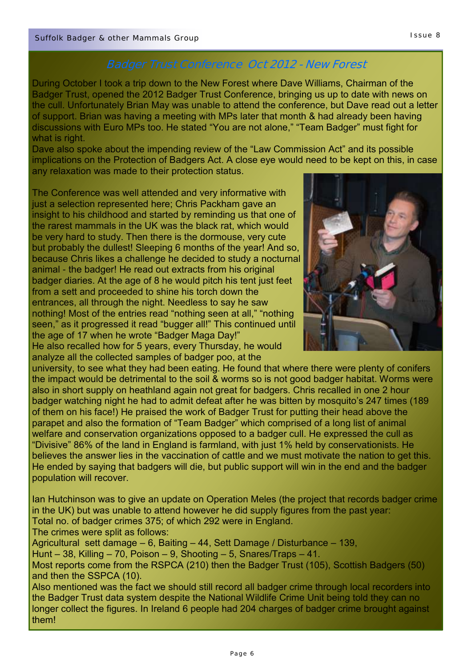## **Badger Trust Conference Oct 2012 - New Forest**

During October I took a trip down to the New Forest where Dave Williams, Chairman of the Badger Trust, opened the 2012 Badger Trust Conference, bringing us up to date with news on the cull. Unfortunately Brian May was unable to attend the conference, but Dave read out a letter of support. Brian was having a meeting with MPs later that month & had already been having discussions with Euro MPs too. He stated "You are not alone," "Team Badger" must fight for what is right.

Dave also spoke about the impending review of the "Law Commission Act" and its possible implications on the Protection of Badgers Act. A close eye would need to be kept on this, in case any relaxation was made to their protection status.

The Conference was well attended and very informative with just a selection represented here; Chris Packham gave an insight to his childhood and started by reminding us that one of the rarest mammals in the UK was the black rat, which would be very hard to study. Then there is the dormouse, very cute but probably the dullest! Sleeping 6 months of the year! And so, because Chris likes a challenge he decided to study a nocturnal animal - the badger! He read out extracts from his original badger diaries. At the age of 8 he would pitch his tent just feet from a sett and proceeded to shine his torch down the entrances, all through the night. Needless to say he saw nothing! Most of the entries read "nothing seen at all," "nothing seen," as it progressed it read "bugger all!" This continued until the age of 17 when he wrote "Badger Maga Day!" He also recalled how for 5 years, every Thursday, he would

analyze all the collected samples of badger poo, at the



university, to see what they had been eating. He found that where there were plenty of conifers the impact would be detrimental to the soil & worms so is not good badger habitat. Worms were also in short supply on heathland again not great for badgers. Chris recalled in one 2 hour badger watching night he had to admit defeat after he was bitten by mosquito's 247 times (189 of them on his face!) He praised the work of Badger Trust for putting their head above the parapet and also the formation of "Team Badger" which comprised of a long list of animal welfare and conservation organizations opposed to a badger cull. He expressed the cull as "Divisive" 86% of the land in England is farmland, with just 1% held by conservationists. He believes the answer lies in the vaccination of cattle and we must motivate the nation to get this. He ended by saying that badgers will die, but public support will win in the end and the badger population will recover.

Ian Hutchinson was to give an update on Operation Meles (the project that records badger crime in the UK) but was unable to attend however he did supply figures from the past year: Total no. of badger crimes 375; of which 292 were in England.

The crimes were split as follows:

Agricultural sett damage – 6, Baiting – 44, Sett Damage / Disturbance – 139,

Hunt – 38, Killing – 70, Poison – 9, Shooting – 5, Snares/Traps – 41.

Most reports come from the RSPCA (210) then the Badger Trust (105), Scottish Badgers (50) and then the SSPCA (10).

Also mentioned was the fact we should still record all badger crime through local recorders into the Badger Trust data system despite the National Wildlife Crime Unit being told they can no longer collect the figures. In Ireland 6 people had 204 charges of badger crime brought against them!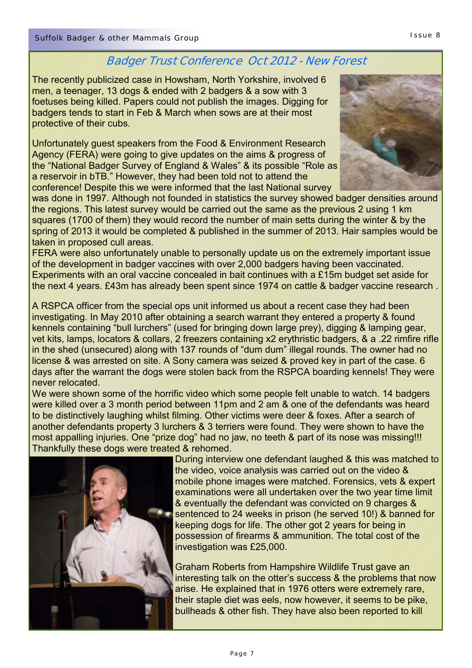## **Badger Trust Conference Oct 2012 - New Forest**

The recently publicized case in Howsham, North Yorkshire, involved 6 men, a teenager, 13 dogs & ended with 2 badgers & a sow with 3 foetuses being killed. Papers could not publish the images. Digging for badgers tends to start in Feb & March when sows are at their most protective of their cubs.

Unfortunately guest speakers from the Food & Environment Research Agency (FERA) were going to give updates on the aims & progress of the "National Badger Survey of England & Wales" & its possible "Role as a reservoir in bTB." However, they had been told not to attend the conference! Despite this we were informed that the last National survey



was done in 1997. Although not founded in statistics the survey showed badger densities around the regions. This latest survey would be carried out the same as the previous 2 using 1 km squares (1700 of them) they would record the number of main setts during the winter & by the spring of 2013 it would be completed & published in the summer of 2013. Hair samples would be taken in proposed cull areas.

FERA were also unfortunately unable to personally update us on the extremely important issue of the development in badger vaccines with over 2,000 badgers having been vaccinated. Experiments with an oral vaccine concealed in bait continues with a £15m budget set aside for the next 4 years. £43m has already been spent since 1974 on cattle & badger vaccine research .

A RSPCA officer from the special ops unit informed us about a recent case they had been investigating. In May 2010 after obtaining a search warrant they entered a property & found kennels containing "bull lurchers" (used for bringing down large prey), digging & lamping gear, vet kits, lamps, locators & collars, 2 freezers containing x2 erythristic badgers, & a .22 rimfire rifle in the shed (unsecured) along with 137 rounds of "dum dum" illegal rounds. The owner had no license & was arrested on site. A Sony camera was seized & proved key in part of the case. 6 days after the warrant the dogs were stolen back from the RSPCA boarding kennels! They were never relocated.

We were shown some of the horrific video which some people felt unable to watch. 14 badgers were killed over a 3 month period between 11pm and 2 am & one of the defendants was heard to be distinctively laughing whilst filming. Other victims were deer & foxes. After a search of another defendants property 3 lurchers & 3 terriers were found. They were shown to have the most appalling injuries. One "prize dog" had no jaw, no teeth & part of its nose was missing!!! Thankfully these dogs were treated & rehomed.



During interview one defendant laughed & this was matched to the video, voice analysis was carried out on the video & mobile phone images were matched. Forensics, vets & expert examinations were all undertaken over the two year time limit & eventually the defendant was convicted on 9 charges & sentenced to 24 weeks in prison (he served 10!) & banned for keeping dogs for life. The other got 2 years for being in possession of firearms & ammunition. The total cost of the investigation was £25,000.

Graham Roberts from Hampshire Wildlife Trust gave an interesting talk on the otter's success & the problems that now arise. He explained that in 1976 otters were extremely rare, their staple diet was eels, now however, it seems to be pike, bullheads & other fish. They have also been reported to kill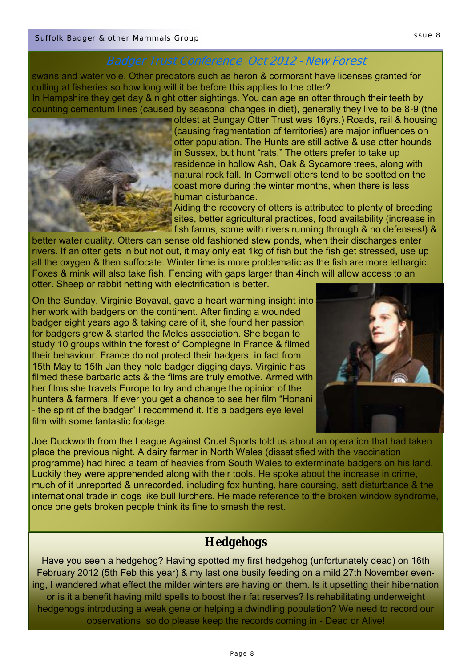## **Badger Trust Conference Oct 2012 - New Forest**

swans and water vole. Other predators such as heron & cormorant have licenses granted for culling at fisheries so how long will it be before this applies to the otter? In Hampshire they get day & night otter sightings. You can age an otter through their teeth by counting cementum lines (caused by seasonal changes in diet), generally they live to be 8-9 (the



oldest at Bungay Otter Trust was 16yrs.) Roads, rail & housing (causing fragmentation of territories) are major influences on otter population. The Hunts are still active & use otter hounds in Sussex, but hunt "rats." The otters prefer to take up residence in hollow Ash, Oak & Sycamore trees, along with natural rock fall. In Cornwall otters tend to be spotted on the coast more during the winter months, when there is less human disturbance.

Aiding the recovery of otters is attributed to plenty of breeding sites, better agricultural practices, food availability (increase in fish farms, some with rivers running through & no defenses!) &

better water quality. Otters can sense old fashioned stew ponds, when their discharges enter rivers. If an otter gets in but not out, it may only eat 1kg of fish but the fish get stressed, use up all the oxygen & then suffocate. Winter time is more problematic as the fish are more lethargic. Foxes & mink will also take fish. Fencing with gaps larger than 4inch will allow access to an otter. Sheep or rabbit netting with electrification is better.

On the Sunday, Virginie Boyaval, gave a heart warming insight into her work with badgers on the continent. After finding a wounded badger eight years ago & taking care of it, she found her passion for badgers grew & started the Meles association. She began to study 10 groups within the forest of Compiegne in France & filmed their behaviour. France do not protect their badgers, in fact from 15th May to 15th Jan they hold badger digging days. Virginie has filmed these barbaric acts & the films are truly emotive. Armed with her films she travels Europe to try and change the opinion of the hunters & farmers. If ever you get a chance to see her film "Honani - the spirit of the badger" I recommend it. It's a badgers eye level film with some fantastic footage.



Joe Duckworth from the League Against Cruel Sports told us about an operation that had taken place the previous night. A dairy farmer in North Wales (dissatisfied with the vaccination programme) had hired a team of heavies from South Wales to exterminate badgers on his land. Luckily they were apprehended along with their tools. He spoke about the increase in crime, much of it unreported & unrecorded, including fox hunting, hare coursing, sett disturbance & the international trade in dogs like bull lurchers. He made reference to the broken window syndrome, once one gets broken people think its fine to smash the rest.

# **Hedgehogs**

Have you seen a hedgehog? Having spotted my first hedgehog (unfortunately dead) on 16th February 2012 (5th Feb this year) & my last one busily feeding on a mild 27th November evening, I wandered what effect the milder winters are having on them. Is it upsetting their hibernation or is it a benefit having mild spells to boost their fat reserves? Is rehabilitating underweight hedgehogs introducing a weak gene or helping a dwindling population? We need to record our observations so do please keep the records coming in - Dead or Alive!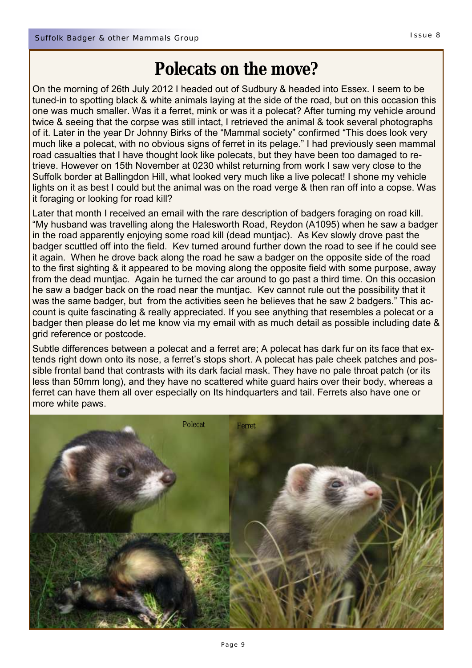# **Polecats on the move?**

On the morning of 26th July 2012 I headed out of Sudbury & headed into Essex. I seem to be tuned-in to spotting black & white animals laying at the side of the road, but on this occasion this one was much smaller. Was it a ferret, mink or was it a polecat? After turning my vehicle around twice & seeing that the corpse was still intact, I retrieved the animal & took several photographs of it. Later in the year Dr Johnny Birks of the "Mammal society" confirmed "This does look very much like a polecat, with no obvious signs of ferret in its pelage." I had previously seen mammal road casualties that I have thought look like polecats, but they have been too damaged to retrieve. However on 15th November at 0230 whilst returning from work I saw very close to the Suffolk border at Ballingdon Hill, what looked very much like a live polecat! I shone my vehicle lights on it as best I could but the animal was on the road verge & then ran off into a copse. Was it foraging or looking for road kill?

Later that month I received an email with the rare description of badgers foraging on road kill. "My husband was travelling along the Halesworth Road, Reydon (A1095) when he saw a badger in the road apparently enjoying some road kill (dead muntjac). As Kev slowly drove past the badger scuttled off into the field. Kev turned around further down the road to see if he could see it again. When he drove back along the road he saw a badger on the opposite side of the road to the first sighting & it appeared to be moving along the opposite field with some purpose, away from the dead muntjac. Again he turned the car around to go past a third time. On this occasion he saw a badger back on the road near the muntjac. Kev cannot rule out the possibility that it was the same badger, but from the activities seen he believes that he saw 2 badgers." This account is quite fascinating & really appreciated. If you see anything that resembles a polecat or a badger then please do let me know via my email with as much detail as possible including date & grid reference or postcode.

Subtle differences between a polecat and a ferret are; A polecat has dark fur on its face that extends right down onto its nose, a ferret's stops short. A polecat has pale cheek patches and possible frontal band that contrasts with its dark facial mask. They have no pale throat patch (or its less than 50mm long), and they have no scattered white guard hairs over their body, whereas a ferret can have them all over especially on Its hindquarters and tail. Ferrets also have one or more white paws.

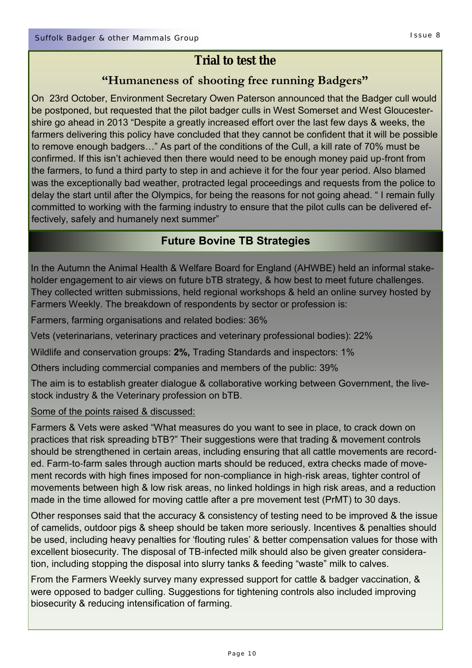# **Trial to test the**

## **"Humaneness of shooting free running Badgers"**

On 23rd October, Environment Secretary Owen Paterson announced that the Badger cull would be postponed, but requested that the pilot badger culls in West Somerset and West Gloucestershire go ahead in 2013 "Despite a greatly increased effort over the last few days & weeks, the farmers delivering this policy have concluded that they cannot be confident that it will be possible to remove enough badgers…" As part of the conditions of the Cull, a kill rate of 70% must be confirmed. If this isn't achieved then there would need to be enough money paid up-front from the farmers, to fund a third party to step in and achieve it for the four year period. Also blamed was the exceptionally bad weather, protracted legal proceedings and requests from the police to delay the start until after the Olympics, for being the reasons for not going ahead. " I remain fully committed to working with the farming industry to ensure that the pilot culls can be delivered effectively, safely and humanely next summer"

## **Future Bovine TB Strategies**

In the Autumn the Animal Health & Welfare Board for England (AHWBE) held an informal stakeholder engagement to air views on future bTB strategy, & how best to meet future challenges. They collected written submissions, held regional workshops & held an online survey hosted by Farmers Weekly. The breakdown of respondents by sector or profession is:

Farmers, farming organisations and related bodies: 36%

Vets (veterinarians, veterinary practices and veterinary professional bodies): 22%

Wildlife and conservation groups: **2%,** Trading Standards and inspectors: 1%

Others including commercial companies and members of the public: 39%

The aim is to establish greater dialogue & collaborative working between Government, the livestock industry & the Veterinary profession on bTB.

#### Some of the points raised & discussed:

Farmers & Vets were asked "What measures do you want to see in place, to crack down on practices that risk spreading bTB?" Their suggestions were that trading & movement controls should be strengthened in certain areas, including ensuring that all cattle movements are recorded. Farm-to-farm sales through auction marts should be reduced, extra checks made of movement records with high fines imposed for non-compliance in high-risk areas, tighter control of movements between high & low risk areas, no linked holdings in high risk areas, and a reduction made in the time allowed for moving cattle after a pre movement test (PrMT) to 30 days.

Other responses said that the accuracy & consistency of testing need to be improved & the issue of camelids, outdoor pigs & sheep should be taken more seriously. Incentives & penalties should be used, including heavy penalties for 'flouting rules' & better compensation values for those with excellent biosecurity. The disposal of TB-infected milk should also be given greater consideration, including stopping the disposal into slurry tanks & feeding "waste" milk to calves.

From the Farmers Weekly survey many expressed support for cattle & badger vaccination, & were opposed to badger culling. Suggestions for tightening controls also included improving biosecurity & reducing intensification of farming.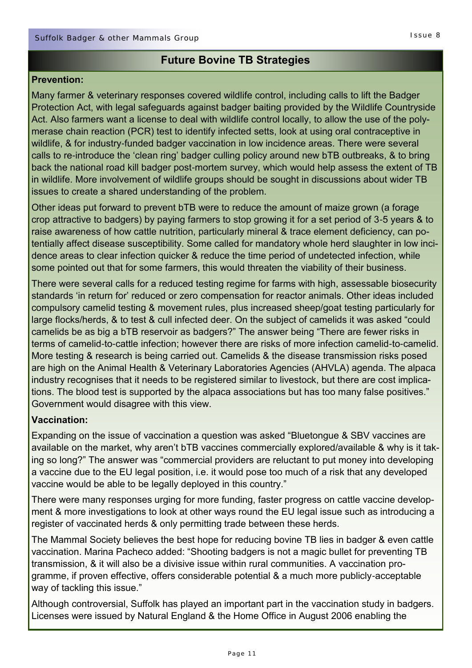### **Future Bovine TB Strategies**

#### **Prevention:**

Many farmer & veterinary responses covered wildlife control, including calls to lift the Badger Protection Act, with legal safeguards against badger baiting provided by the Wildlife Countryside Act. Also farmers want a license to deal with wildlife control locally, to allow the use of the polymerase chain reaction (PCR) test to identify infected setts, look at using oral contraceptive in wildlife, & for industry-funded badger vaccination in low incidence areas. There were several calls to re-introduce the 'clean ring' badger culling policy around new bTB outbreaks, & to bring back the national road kill badger post-mortem survey, which would help assess the extent of TB in wildlife. More involvement of wildlife groups should be sought in discussions about wider TB issues to create a shared understanding of the problem.

Other ideas put forward to prevent bTB were to reduce the amount of maize grown (a forage crop attractive to badgers) by paying farmers to stop growing it for a set period of 3-5 years & to raise awareness of how cattle nutrition, particularly mineral & trace element deficiency, can potentially affect disease susceptibility. Some called for mandatory whole herd slaughter in low incidence areas to clear infection quicker & reduce the time period of undetected infection, while some pointed out that for some farmers, this would threaten the viability of their business.

There were several calls for a reduced testing regime for farms with high, assessable biosecurity standards 'in return for' reduced or zero compensation for reactor animals. Other ideas included compulsory camelid testing & movement rules, plus increased sheep/goat testing particularly for large flocks/herds, & to test & cull infected deer. On the subject of camelids it was asked "could camelids be as big a bTB reservoir as badgers?" The answer being "There are fewer risks in terms of camelid-to-cattle infection; however there are risks of more infection camelid-to-camelid. More testing & research is being carried out. Camelids & the disease transmission risks posed are high on the Animal Health & Veterinary Laboratories Agencies (AHVLA) agenda. The alpaca industry recognises that it needs to be registered similar to livestock, but there are cost implications. The blood test is supported by the alpaca associations but has too many false positives." Government would disagree with this view.

#### **Vaccination:**

Expanding on the issue of vaccination a question was asked "Bluetongue & SBV vaccines are available on the market, why aren't bTB vaccines commercially explored/available & why is it taking so long?" The answer was "commercial providers are reluctant to put money into developing a vaccine due to the EU legal position, i.e. it would pose too much of a risk that any developed vaccine would be able to be legally deployed in this country."

There were many responses urging for more funding, faster progress on cattle vaccine development & more investigations to look at other ways round the EU legal issue such as introducing a register of vaccinated herds & only permitting trade between these herds.

The Mammal Society believes the best hope for reducing bovine TB lies in badger & even cattle vaccination. Marina Pacheco added: "Shooting badgers is not a magic bullet for preventing TB transmission, & it will also be a divisive issue within rural communities. A vaccination programme, if proven effective, offers considerable potential & a much more publicly-acceptable way of tackling this issue."

Although controversial, Suffolk has played an important part in the vaccination study in badgers. Licenses were issued by Natural England & the Home Office in August 2006 enabling the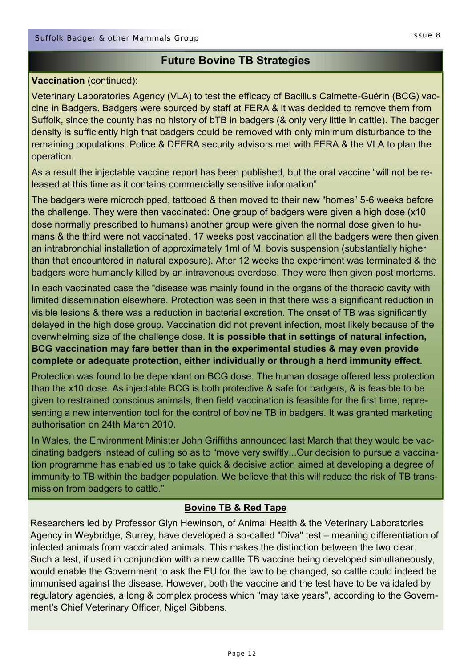#### **Future Bovine TB Strategies**

#### **Vaccination** (continued):

Veterinary Laboratories Agency (VLA) to test the efficacy of Bacillus Calmette-Guérin (BCG) vaccine in Badgers. Badgers were sourced by staff at FERA & it was decided to remove them from Suffolk, since the county has no history of bTB in badgers (& only very little in cattle). The badger density is sufficiently high that badgers could be removed with only minimum disturbance to the remaining populations. Police & DEFRA security advisors met with FERA & the VLA to plan the operation.

As a result the injectable vaccine report has been published, but the oral vaccine "will not be released at this time as it contains commercially sensitive information"

The badgers were microchipped, tattooed & then moved to their new "homes" 5-6 weeks before the challenge. They were then vaccinated: One group of badgers were given a high dose (x10 dose normally prescribed to humans) another group were given the normal dose given to humans & the third were not vaccinated. 17 weeks post vaccination all the badgers were then given an intrabronchial installation of approximately 1ml of M. bovis suspension (substantially higher than that encountered in natural exposure). After 12 weeks the experiment was terminated & the badgers were humanely killed by an intravenous overdose. They were then given post mortems.

In each vaccinated case the "disease was mainly found in the organs of the thoracic cavity with limited dissemination elsewhere. Protection was seen in that there was a significant reduction in visible lesions & there was a reduction in bacterial excretion. The onset of TB was significantly delayed in the high dose group. Vaccination did not prevent infection, most likely because of the overwhelming size of the challenge dose. **It is possible that in settings of natural infection, BCG vaccination may fare better than in the experimental studies & may even provide complete or adequate protection, either individually or through a herd immunity effect.** 

Protection was found to be dependant on BCG dose. The human dosage offered less protection than the x10 dose. As injectable BCG is both protective & safe for badgers, & is feasible to be given to restrained conscious animals, then field vaccination is feasible for the first time; representing a new intervention tool for the control of bovine TB in badgers. It was granted marketing authorisation on 24th March 2010.

In Wales, the Environment Minister John Griffiths announced last March that they would be vaccinating badgers instead of culling so as to "move very swiftly...Our decision to pursue a vaccination programme has enabled us to take quick & decisive action aimed at developing a degree of immunity to TB within the badger population. We believe that this will reduce the risk of TB transmission from badgers to cattle."

#### **Bovine TB & Red Tape**

Researchers led by Professor Glyn Hewinson, of Animal Health & the Veterinary Laboratories Agency in Weybridge, Surrey, have developed a so-called "Diva" test – meaning differentiation of infected animals from vaccinated animals. This makes the distinction between the two clear. Such a test, if used in conjunction with a new cattle TB vaccine being developed simultaneously, would enable the Government to ask the EU for the law to be changed, so cattle could indeed be immunised against the disease. However, both the vaccine and the test have to be validated by regulatory agencies, a long & complex process which "may take years", according to the Government's Chief Veterinary Officer, Nigel Gibbens.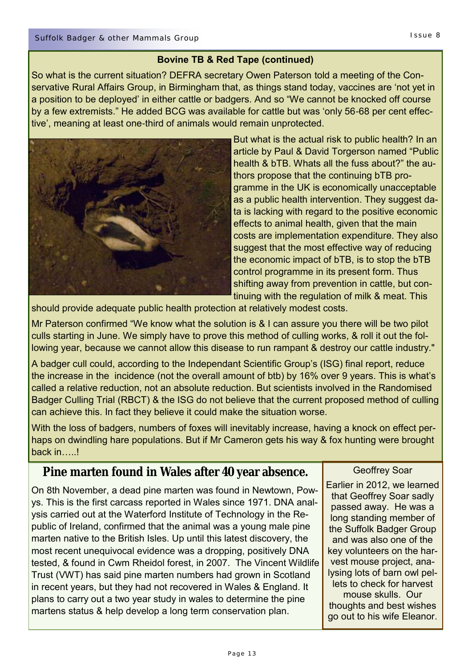#### **Bovine TB & Red Tape (continued)**

So what is the current situation? DEFRA secretary Owen Paterson told a meeting of the Conservative Rural Affairs Group, in Birmingham that, as things stand today, vaccines are 'not yet in a position to be deployed' in either cattle or badgers. And so "We cannot be knocked off course by a few extremists." He added BCG was available for cattle but was 'only 56-68 per cent effective', meaning at least one-third of animals would remain unprotected.



But what is the actual risk to public health? In an article by Paul & David Torgerson named "Public health & bTB. Whats all the fuss about?" the authors propose that the continuing bTB programme in the UK is economically unacceptable as a public health intervention. They suggest data is lacking with regard to the positive economic effects to animal health, given that the main costs are implementation expenditure. They also suggest that the most effective way of reducing the economic impact of bTB, is to stop the bTB control programme in its present form. Thus shifting away from prevention in cattle, but continuing with the regulation of milk & meat. This

should provide adequate public health protection at relatively modest costs.

Mr Paterson confirmed "We know what the solution is & I can assure you there will be two pilot culls starting in June. We simply have to prove this method of culling works, & roll it out the following year, because we cannot allow this disease to run rampant & destroy our cattle industry."

A badger cull could, according to the Independant Scientific Group's (ISG) final report, reduce the increase in the incidence (not the overall amount of btb) by 16% over 9 years. This is what's called a relative reduction, not an absolute reduction. But scientists involved in the Randomised Badger Culling Trial (RBCT) & the ISG do not believe that the current proposed method of culling can achieve this. In fact they believe it could make the situation worse.

With the loss of badgers, numbers of foxes will inevitably increase, having a knock on effect perhaps on dwindling hare populations. But if Mr Cameron gets his way & fox hunting were brought back in….!

## **Pine marten found in Wales after 40 year absence.**

On 8th November, a dead pine marten was found in Newtown, Powys. This is the first carcass reported in Wales since 1971. DNA analysis carried out at the Waterford Institute of Technology in the Republic of Ireland, confirmed that the animal was a young male pine marten native to the British Isles. Up until this latest discovery, the most recent unequivocal evidence was a dropping, positively DNA tested, & found in Cwm Rheidol forest, in 2007. The Vincent Wildlife Trust (VWT) has said pine marten numbers had grown in Scotland in recent years, but they had not recovered in Wales & England. It plans to carry out a two year study in wales to determine the pine martens status & help develop a long term conservation plan.

Geoffrey Soar

Earlier in 2012, we learned that Geoffrey Soar sadly passed away. He was a long standing member of the Suffolk Badger Group and was also one of the key volunteers on the harvest mouse project, analysing lots of barn owl pellets to check for harvest mouse skulls. Our thoughts and best wishes go out to his wife Eleanor.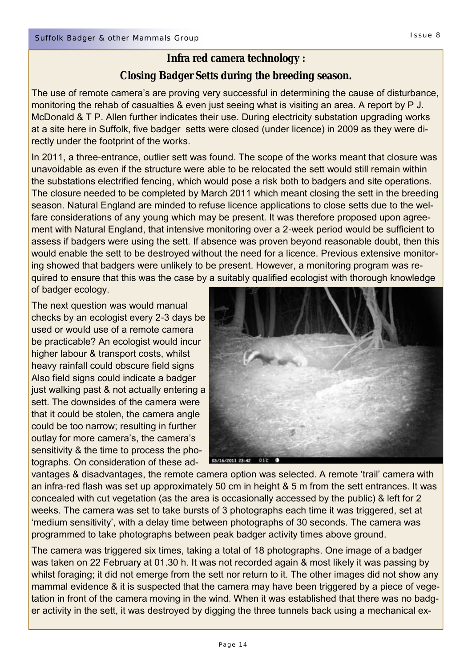## **Closing Badger Setts during the breeding season.**

The use of remote camera's are proving very successful in determining the cause of disturbance, monitoring the rehab of casualties & even just seeing what is visiting an area. A report by P J. McDonald & T P. Allen further indicates their use. During electricity substation upgrading works at a site here in Suffolk, five badger setts were closed (under licence) in 2009 as they were directly under the footprint of the works.

In 2011, a three-entrance, outlier sett was found. The scope of the works meant that closure was unavoidable as even if the structure were able to be relocated the sett would still remain within the substations electrified fencing, which would pose a risk both to badgers and site operations. The closure needed to be completed by March 2011 which meant closing the sett in the breeding season. Natural England are minded to refuse licence applications to close setts due to the welfare considerations of any young which may be present. It was therefore proposed upon agreement with Natural England, that intensive monitoring over a 2-week period would be sufficient to assess if badgers were using the sett. If absence was proven beyond reasonable doubt, then this would enable the sett to be destroyed without the need for a licence. Previous extensive monitoring showed that badgers were unlikely to be present. However, a monitoring program was required to ensure that this was the case by a suitably qualified ecologist with thorough knowledge of badger ecology.

The next question was would manual checks by an ecologist every 2-3 days be used or would use of a remote camera be practicable? An ecologist would incur higher labour & transport costs, whilst heavy rainfall could obscure field signs Also field signs could indicate a badger just walking past & not actually entering a sett. The downsides of the camera were that it could be stolen, the camera angle could be too narrow; resulting in further outlay for more camera's, the camera's sensitivity & the time to process the photographs. On consideration of these ad-



vantages & disadvantages, the remote camera option was selected. A remote 'trail' camera with an infra-red flash was set up approximately 50 cm in height & 5 m from the sett entrances. It was concealed with cut vegetation (as the area is occasionally accessed by the public) & left for 2 weeks. The camera was set to take bursts of 3 photographs each time it was triggered, set at 'medium sensitivity', with a delay time between photographs of 30 seconds. The camera was programmed to take photographs between peak badger activity times above ground.

The camera was triggered six times, taking a total of 18 photographs. One image of a badger was taken on 22 February at 01.30 h. It was not recorded again & most likely it was passing by whilst foraging; it did not emerge from the sett nor return to it. The other images did not show any mammal evidence & it is suspected that the camera may have been triggered by a piece of vegetation in front of the camera moving in the wind. When it was established that there was no badger activity in the sett, it was destroyed by digging the three tunnels back using a mechanical ex-